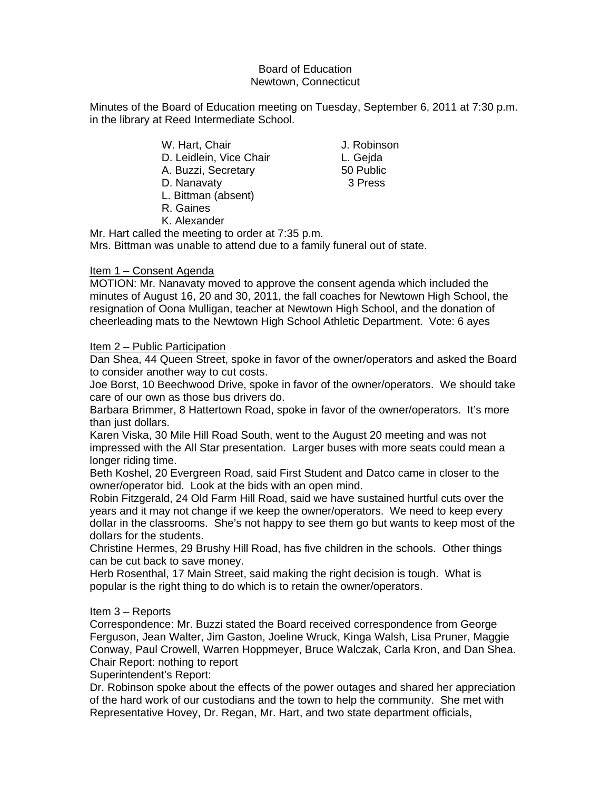## Board of Education Newtown, Connecticut

Minutes of the Board of Education meeting on Tuesday, September 6, 2011 at 7:30 p.m. in the library at Reed Intermediate School.

- W. Hart, Chair **J. Robinson** D. Leidlein, Vice Chair **L. Gejda** A. Buzzi, Secretary 60 Public D. Nanavaty 3 Press
- L. Bittman (absent)
- R. Gaines
- K. Alexander

Mr. Hart called the meeting to order at 7:35 p.m. Mrs. Bittman was unable to attend due to a family funeral out of state.

# Item 1 – Consent Agenda

MOTION: Mr. Nanavaty moved to approve the consent agenda which included the minutes of August 16, 20 and 30, 2011, the fall coaches for Newtown High School, the resignation of Oona Mulligan, teacher at Newtown High School, and the donation of cheerleading mats to the Newtown High School Athletic Department. Vote: 6 ayes

## Item 2 – Public Participation

Dan Shea, 44 Queen Street, spoke in favor of the owner/operators and asked the Board to consider another way to cut costs.

Joe Borst, 10 Beechwood Drive, spoke in favor of the owner/operators. We should take care of our own as those bus drivers do.

Barbara Brimmer, 8 Hattertown Road, spoke in favor of the owner/operators. It's more than just dollars.

Karen Viska, 30 Mile Hill Road South, went to the August 20 meeting and was not impressed with the All Star presentation. Larger buses with more seats could mean a longer riding time.

Beth Koshel, 20 Evergreen Road, said First Student and Datco came in closer to the owner/operator bid. Look at the bids with an open mind.

Robin Fitzgerald, 24 Old Farm Hill Road, said we have sustained hurtful cuts over the years and it may not change if we keep the owner/operators. We need to keep every dollar in the classrooms. She's not happy to see them go but wants to keep most of the dollars for the students.

Christine Hermes, 29 Brushy Hill Road, has five children in the schools. Other things can be cut back to save money.

Herb Rosenthal, 17 Main Street, said making the right decision is tough. What is popular is the right thing to do which is to retain the owner/operators.

# Item 3 – Reports

Correspondence: Mr. Buzzi stated the Board received correspondence from George Ferguson, Jean Walter, Jim Gaston, Joeline Wruck, Kinga Walsh, Lisa Pruner, Maggie Conway, Paul Crowell, Warren Hoppmeyer, Bruce Walczak, Carla Kron, and Dan Shea. Chair Report: nothing to report

Superintendent's Report:

Dr. Robinson spoke about the effects of the power outages and shared her appreciation of the hard work of our custodians and the town to help the community. She met with Representative Hovey, Dr. Regan, Mr. Hart, and two state department officials,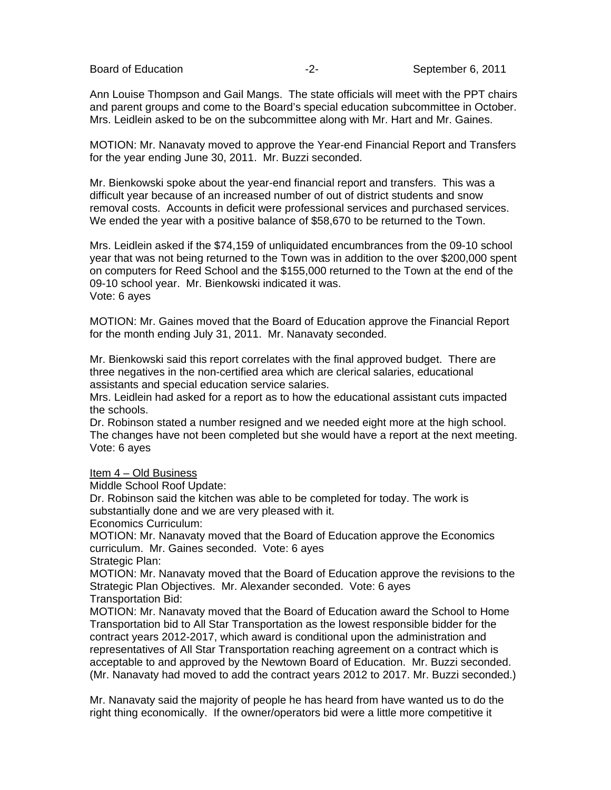Ann Louise Thompson and Gail Mangs. The state officials will meet with the PPT chairs and parent groups and come to the Board's special education subcommittee in October. Mrs. Leidlein asked to be on the subcommittee along with Mr. Hart and Mr. Gaines.

MOTION: Mr. Nanavaty moved to approve the Year-end Financial Report and Transfers for the year ending June 30, 2011. Mr. Buzzi seconded.

Mr. Bienkowski spoke about the year-end financial report and transfers. This was a difficult year because of an increased number of out of district students and snow removal costs. Accounts in deficit were professional services and purchased services. We ended the year with a positive balance of \$58,670 to be returned to the Town.

Mrs. Leidlein asked if the \$74,159 of unliquidated encumbrances from the 09-10 school year that was not being returned to the Town was in addition to the over \$200,000 spent on computers for Reed School and the \$155,000 returned to the Town at the end of the 09-10 school year. Mr. Bienkowski indicated it was. Vote: 6 ayes

MOTION: Mr. Gaines moved that the Board of Education approve the Financial Report for the month ending July 31, 2011. Mr. Nanavaty seconded.

Mr. Bienkowski said this report correlates with the final approved budget. There are three negatives in the non-certified area which are clerical salaries, educational assistants and special education service salaries.

Mrs. Leidlein had asked for a report as to how the educational assistant cuts impacted the schools.

Dr. Robinson stated a number resigned and we needed eight more at the high school. The changes have not been completed but she would have a report at the next meeting. Vote: 6 ayes

### Item 4 – Old Business

Middle School Roof Update:

Dr. Robinson said the kitchen was able to be completed for today. The work is substantially done and we are very pleased with it.

Economics Curriculum:

MOTION: Mr. Nanavaty moved that the Board of Education approve the Economics curriculum. Mr. Gaines seconded. Vote: 6 ayes

Strategic Plan:

MOTION: Mr. Nanavaty moved that the Board of Education approve the revisions to the Strategic Plan Objectives. Mr. Alexander seconded. Vote: 6 ayes Transportation Bid:

MOTION: Mr. Nanavaty moved that the Board of Education award the School to Home Transportation bid to All Star Transportation as the lowest responsible bidder for the contract years 2012-2017, which award is conditional upon the administration and representatives of All Star Transportation reaching agreement on a contract which is acceptable to and approved by the Newtown Board of Education. Mr. Buzzi seconded. (Mr. Nanavaty had moved to add the contract years 2012 to 2017. Mr. Buzzi seconded.)

Mr. Nanavaty said the majority of people he has heard from have wanted us to do the right thing economically. If the owner/operators bid were a little more competitive it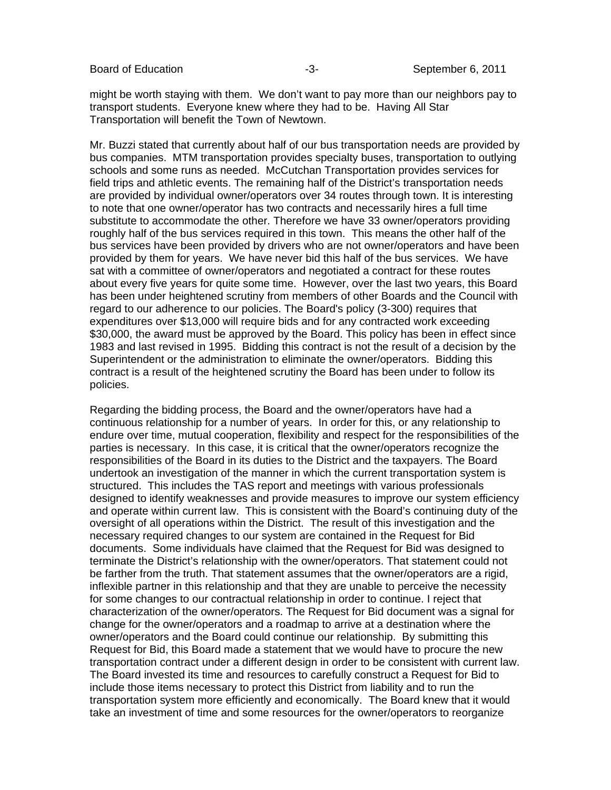Board of Education **Contact Contact Contact Contact Contact Contact Contact Contact Contact Contact Contact Contact Contact Contact Contact Contact Contact Contact Contact Contact Contact Contact Contact Contact Contact Co** 

might be worth staying with them. We don't want to pay more than our neighbors pay to transport students. Everyone knew where they had to be. Having All Star Transportation will benefit the Town of Newtown.

Mr. Buzzi stated that currently about half of our bus transportation needs are provided by bus companies. MTM transportation provides specialty buses, transportation to outlying schools and some runs as needed. McCutchan Transportation provides services for field trips and athletic events. The remaining half of the District's transportation needs are provided by individual owner/operators over 34 routes through town. It is interesting to note that one owner/operator has two contracts and necessarily hires a full time substitute to accommodate the other. Therefore we have 33 owner/operators providing roughly half of the bus services required in this town. This means the other half of the bus services have been provided by drivers who are not owner/operators and have been provided by them for years. We have never bid this half of the bus services. We have sat with a committee of owner/operators and negotiated a contract for these routes about every five years for quite some time. However, over the last two years, this Board has been under heightened scrutiny from members of other Boards and the Council with regard to our adherence to our policies. The Board's policy (3-300) requires that expenditures over \$13,000 will require bids and for any contracted work exceeding \$30,000, the award must be approved by the Board. This policy has been in effect since 1983 and last revised in 1995. Bidding this contract is not the result of a decision by the Superintendent or the administration to eliminate the owner/operators. Bidding this contract is a result of the heightened scrutiny the Board has been under to follow its policies.

Regarding the bidding process, the Board and the owner/operators have had a continuous relationship for a number of years. In order for this, or any relationship to endure over time, mutual cooperation, flexibility and respect for the responsibilities of the parties is necessary. In this case, it is critical that the owner/operators recognize the responsibilities of the Board in its duties to the District and the taxpayers. The Board undertook an investigation of the manner in which the current transportation system is structured. This includes the TAS report and meetings with various professionals designed to identify weaknesses and provide measures to improve our system efficiency and operate within current law. This is consistent with the Board's continuing duty of the oversight of all operations within the District. The result of this investigation and the necessary required changes to our system are contained in the Request for Bid documents. Some individuals have claimed that the Request for Bid was designed to terminate the District's relationship with the owner/operators. That statement could not be farther from the truth. That statement assumes that the owner/operators are a rigid, inflexible partner in this relationship and that they are unable to perceive the necessity for some changes to our contractual relationship in order to continue. I reject that characterization of the owner/operators. The Request for Bid document was a signal for change for the owner/operators and a roadmap to arrive at a destination where the owner/operators and the Board could continue our relationship. By submitting this Request for Bid, this Board made a statement that we would have to procure the new transportation contract under a different design in order to be consistent with current law. The Board invested its time and resources to carefully construct a Request for Bid to include those items necessary to protect this District from liability and to run the transportation system more efficiently and economically. The Board knew that it would take an investment of time and some resources for the owner/operators to reorganize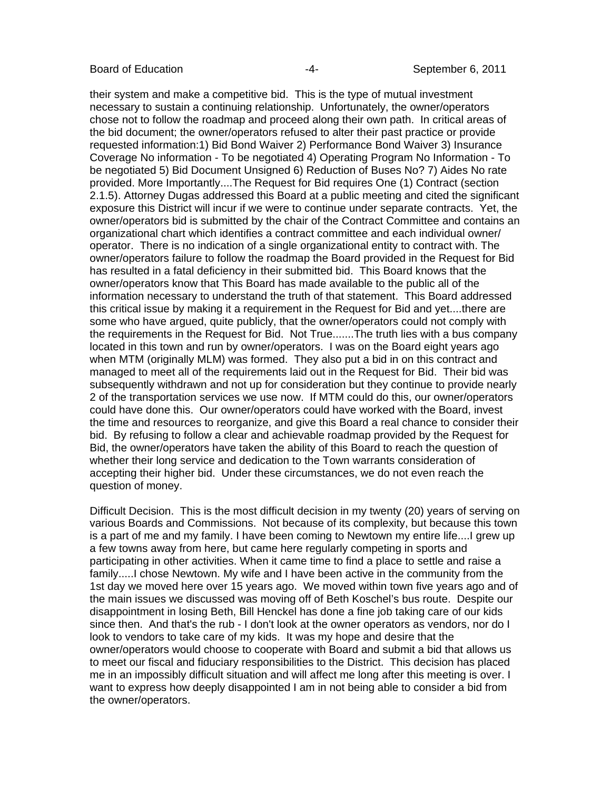their system and make a competitive bid. This is the type of mutual investment necessary to sustain a continuing relationship. Unfortunately, the owner/operators chose not to follow the roadmap and proceed along their own path. In critical areas of the bid document; the owner/operators refused to alter their past practice or provide requested information:1) Bid Bond Waiver 2) Performance Bond Waiver 3) Insurance Coverage No information - To be negotiated 4) Operating Program No Information - To be negotiated 5) Bid Document Unsigned 6) Reduction of Buses No? 7) Aides No rate provided. More Importantly....The Request for Bid requires One (1) Contract (section 2.1.5). Attorney Dugas addressed this Board at a public meeting and cited the significant exposure this District will incur if we were to continue under separate contracts. Yet, the owner/operators bid is submitted by the chair of the Contract Committee and contains an organizational chart which identifies a contract committee and each individual owner/ operator. There is no indication of a single organizational entity to contract with. The owner/operators failure to follow the roadmap the Board provided in the Request for Bid has resulted in a fatal deficiency in their submitted bid. This Board knows that the owner/operators know that This Board has made available to the public all of the information necessary to understand the truth of that statement. This Board addressed this critical issue by making it a requirement in the Request for Bid and yet....there are some who have argued, quite publicly, that the owner/operators could not comply with the requirements in the Request for Bid. Not True.......The truth lies with a bus company located in this town and run by owner/operators. I was on the Board eight years ago when MTM (originally MLM) was formed. They also put a bid in on this contract and managed to meet all of the requirements laid out in the Request for Bid. Their bid was subsequently withdrawn and not up for consideration but they continue to provide nearly 2 of the transportation services we use now. If MTM could do this, our owner/operators could have done this. Our owner/operators could have worked with the Board, invest the time and resources to reorganize, and give this Board a real chance to consider their bid. By refusing to follow a clear and achievable roadmap provided by the Request for Bid, the owner/operators have taken the ability of this Board to reach the question of whether their long service and dedication to the Town warrants consideration of accepting their higher bid. Under these circumstances, we do not even reach the question of money.

Difficult Decision. This is the most difficult decision in my twenty (20) years of serving on various Boards and Commissions. Not because of its complexity, but because this town is a part of me and my family. I have been coming to Newtown my entire life....I grew up a few towns away from here, but came here regularly competing in sports and participating in other activities. When it came time to find a place to settle and raise a family.....I chose Newtown. My wife and I have been active in the community from the 1st day we moved here over 15 years ago. We moved within town five years ago and of the main issues we discussed was moving off of Beth Koschel's bus route. Despite our disappointment in losing Beth, Bill Henckel has done a fine job taking care of our kids since then. And that's the rub - I don't look at the owner operators as vendors, nor do I look to vendors to take care of my kids. It was my hope and desire that the owner/operators would choose to cooperate with Board and submit a bid that allows us to meet our fiscal and fiduciary responsibilities to the District. This decision has placed me in an impossibly difficult situation and will affect me long after this meeting is over. I want to express how deeply disappointed I am in not being able to consider a bid from the owner/operators.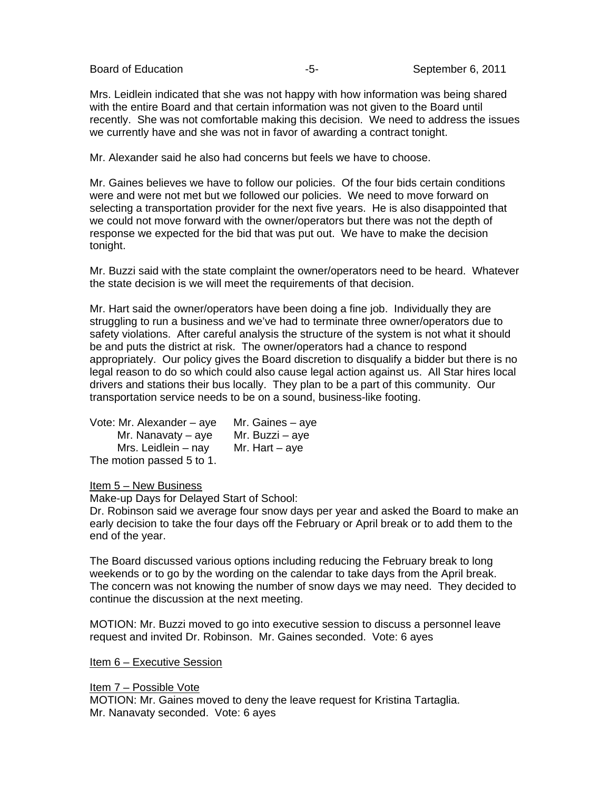Mrs. Leidlein indicated that she was not happy with how information was being shared with the entire Board and that certain information was not given to the Board until recently. She was not comfortable making this decision. We need to address the issues we currently have and she was not in favor of awarding a contract tonight.

Mr. Alexander said he also had concerns but feels we have to choose.

Mr. Gaines believes we have to follow our policies. Of the four bids certain conditions were and were not met but we followed our policies. We need to move forward on selecting a transportation provider for the next five years. He is also disappointed that we could not move forward with the owner/operators but there was not the depth of response we expected for the bid that was put out. We have to make the decision tonight.

Mr. Buzzi said with the state complaint the owner/operators need to be heard. Whatever the state decision is we will meet the requirements of that decision.

Mr. Hart said the owner/operators have been doing a fine job. Individually they are struggling to run a business and we've had to terminate three owner/operators due to safety violations. After careful analysis the structure of the system is not what it should be and puts the district at risk. The owner/operators had a chance to respond appropriately. Our policy gives the Board discretion to disqualify a bidder but there is no legal reason to do so which could also cause legal action against us. All Star hires local drivers and stations their bus locally. They plan to be a part of this community.Our transportation service needs to be on a sound, business-like footing.

| Vote: Mr. Alexander - aye | Mr. Gaines – aye |
|---------------------------|------------------|
| Mr. Nanavaty $-$ aye      | Mr. Buzzi – aye  |
| Mrs. Leidlein - nay       | Mr. Hart $-$ aye |
| The motion passed 5 to 1. |                  |

Item 5 – New Business

Make-up Days for Delayed Start of School:

Dr. Robinson said we average four snow days per year and asked the Board to make an early decision to take the four days off the February or April break or to add them to the end of the year.

The Board discussed various options including reducing the February break to long weekends or to go by the wording on the calendar to take days from the April break. The concern was not knowing the number of snow days we may need. They decided to continue the discussion at the next meeting.

MOTION: Mr. Buzzi moved to go into executive session to discuss a personnel leave request and invited Dr. Robinson. Mr. Gaines seconded. Vote: 6 ayes

Item 6 – Executive Session

Item 7 – Possible Vote

MOTION: Mr. Gaines moved to deny the leave request for Kristina Tartaglia. Mr. Nanavaty seconded. Vote: 6 ayes